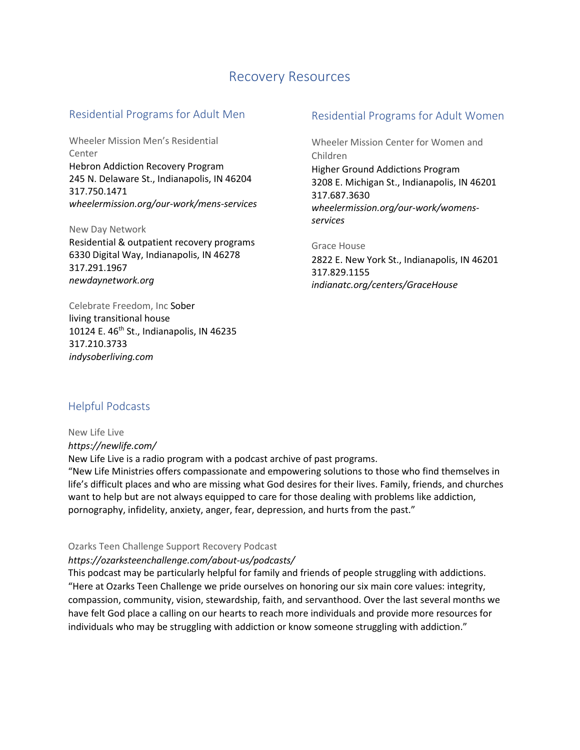# Recovery Resources

### Residential Programs for Adult Men

Wheeler Mission Men's Residential Center Hebron Addiction Recovery Program 245 N. Delaware St., Indianapolis, IN 46204 317.750.1471 *wheelermission.org/our-work/mens-services*

New Day Network Residential & outpatient recovery programs 6330 Digital Way, Indianapolis, IN 46278 317.291.1967 *newdaynetwork.org*

Celebrate Freedom, Inc Sober living transitional house 10124 E. 46<sup>th</sup> St., Indianapolis, IN 46235 317.210.3733 *indysoberliving.com*

# Residential Programs for Adult Women

Wheeler Mission Center for Women and Children Higher Ground Addictions Program 3208 E. Michigan St., Indianapolis, IN 46201 317.687.3630 *wheelermission.org/our-work/womensservices*

Grace House 2822 E. New York St., Indianapolis, IN 46201 317.829.1155 *indianatc.org/centers/GraceHouse*

# Helpful Podcasts

New Life Live *https://newlife.com/*

New Life Live is a radio program with a podcast archive of past programs.

"New Life Ministries offers compassionate and empowering solutions to those who find themselves in life's difficult places and who are missing what God desires for their lives. Family, friends, and churches want to help but are not always equipped to care for those dealing with problems like addiction, pornography, infidelity, anxiety, anger, fear, depression, and hurts from the past."

### Ozarks Teen Challenge Support Recovery Podcast

### *https://ozarksteenchallenge.com/about-us/podcasts/*

This podcast may be particularly helpful for family and friends of people struggling with addictions. "Here at Ozarks Teen Challenge we pride ourselves on honoring our six main core values: integrity, compassion, community, vision, stewardship, faith, and servanthood. Over the last several months we have felt God place a calling on our hearts to reach more individuals and provide more resources for individuals who may be struggling with addiction or know someone struggling with addiction."